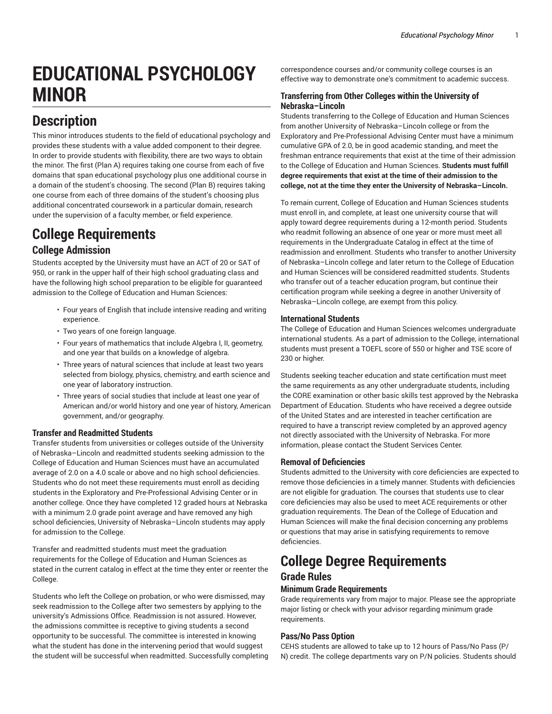# **EDUCATIONAL PSYCHOLOGY MINOR**

# **Description**

This minor introduces students to the field of educational psychology and provides these students with a value added component to their degree. In order to provide students with flexibility, there are two ways to obtain the minor. The first (Plan A) requires taking one course from each of five domains that span educational psychology plus one additional course in a domain of the student's choosing. The second (Plan B) requires taking one course from each of three domains of the student's choosing plus additional concentrated coursework in a particular domain, research under the supervision of a faculty member, or field experience.

## **College Requirements College Admission**

Students accepted by the University must have an ACT of 20 or SAT of 950, or rank in the upper half of their high school graduating class and have the following high school preparation to be eligible for guaranteed admission to the College of Education and Human Sciences:

- Four years of English that include intensive reading and writing experience.
- Two years of one foreign language.
- Four years of mathematics that include Algebra I, II, geometry, and one year that builds on a knowledge of algebra.
- Three years of natural sciences that include at least two years selected from biology, physics, chemistry, and earth science and one year of laboratory instruction.
- Three years of social studies that include at least one year of American and/or world history and one year of history, American government, and/or geography.

#### **Transfer and Readmitted Students**

Transfer students from universities or colleges outside of the University of Nebraska–Lincoln and readmitted students seeking admission to the College of Education and Human Sciences must have an accumulated average of 2.0 on a 4.0 scale or above and no high school deficiencies. Students who do not meet these requirements must enroll as deciding students in the Exploratory and Pre-Professional Advising Center or in another college. Once they have completed 12 graded hours at Nebraska with a minimum 2.0 grade point average and have removed any high school deficiencies, University of Nebraska–Lincoln students may apply for admission to the College.

Transfer and readmitted students must meet the graduation requirements for the College of Education and Human Sciences as stated in the current catalog in effect at the time they enter or reenter the College.

Students who left the College on probation, or who were dismissed, may seek readmission to the College after two semesters by applying to the university's Admissions Office. Readmission is not assured. However, the admissions committee is receptive to giving students a second opportunity to be successful. The committee is interested in knowing what the student has done in the intervening period that would suggest the student will be successful when readmitted. Successfully completing correspondence courses and/or community college courses is an effective way to demonstrate one's commitment to academic success.

#### **Transferring from Other Colleges within the University of Nebraska–Lincoln**

Students transferring to the College of Education and Human Sciences from another University of Nebraska–Lincoln college or from the Exploratory and Pre-Professional Advising Center must have a minimum cumulative GPA of 2.0, be in good academic standing, and meet the freshman entrance requirements that exist at the time of their admission to the College of Education and Human Sciences. **Students must fulfill degree requirements that exist at the time of their admission to the college, not at the time they enter the University of Nebraska–Lincoln.**

To remain current, College of Education and Human Sciences students must enroll in, and complete, at least one university course that will apply toward degree requirements during a 12-month period. Students who readmit following an absence of one year or more must meet all requirements in the Undergraduate Catalog in effect at the time of readmission and enrollment. Students who transfer to another University of Nebraska–Lincoln college and later return to the College of Education and Human Sciences will be considered readmitted students. Students who transfer out of a teacher education program, but continue their certification program while seeking a degree in another University of Nebraska–Lincoln college, are exempt from this policy.

#### **International Students**

The College of Education and Human Sciences welcomes undergraduate international students. As a part of admission to the College, international students must present a TOEFL score of 550 or higher and TSE score of 230 or higher.

Students seeking teacher education and state certification must meet the same requirements as any other undergraduate students, including the CORE examination or other basic skills test approved by the Nebraska Department of Education. Students who have received a degree outside of the United States and are interested in teacher certification are required to have a transcript review completed by an approved agency not directly associated with the University of Nebraska. For more information, please contact the Student Services Center.

#### **Removal of Deficiencies**

Students admitted to the University with core deficiencies are expected to remove those deficiencies in a timely manner. Students with deficiencies are not eligible for graduation. The courses that students use to clear core deficiencies may also be used to meet ACE requirements or other graduation requirements. The Dean of the College of Education and Human Sciences will make the final decision concerning any problems or questions that may arise in satisfying requirements to remove deficiencies.

# **College Degree Requirements**

## **Grade Rules**

### **Minimum Grade Requirements**

Grade requirements vary from major to major. Please see the appropriate major listing or check with your advisor regarding minimum grade requirements.

#### **Pass/No Pass Option**

CEHS students are allowed to take up to 12 hours of Pass/No Pass (P/ N) credit. The college departments vary on P/N policies. Students should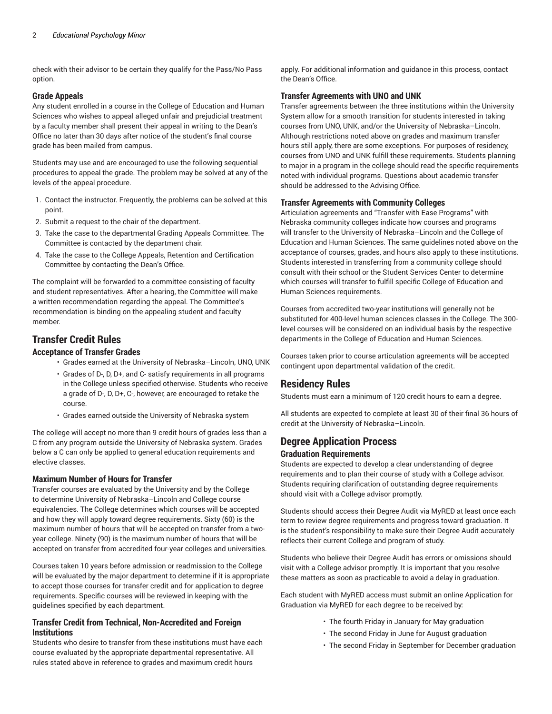check with their advisor to be certain they qualify for the Pass/No Pass option.

#### **Grade Appeals**

Any student enrolled in a course in the College of Education and Human Sciences who wishes to appeal alleged unfair and prejudicial treatment by a faculty member shall present their appeal in writing to the Dean's Office no later than 30 days after notice of the student's final course grade has been mailed from campus.

Students may use and are encouraged to use the following sequential procedures to appeal the grade. The problem may be solved at any of the levels of the appeal procedure.

- 1. Contact the instructor. Frequently, the problems can be solved at this point.
- 2. Submit a request to the chair of the department.
- 3. Take the case to the departmental Grading Appeals Committee. The Committee is contacted by the department chair.
- 4. Take the case to the College Appeals, Retention and Certification Committee by contacting the Dean's Office.

The complaint will be forwarded to a committee consisting of faculty and student representatives. After a hearing, the Committee will make a written recommendation regarding the appeal. The Committee's recommendation is binding on the appealing student and faculty member.

#### **Transfer Credit Rules**

#### **Acceptance of Transfer Grades**

- Grades earned at the University of Nebraska–Lincoln, UNO, UNK
- Grades of D-, D, D+, and C- satisfy requirements in all programs in the College unless specified otherwise. Students who receive a grade of D-, D, D+, C-, however, are encouraged to retake the course.
- Grades earned outside the University of Nebraska system

The college will accept no more than 9 credit hours of grades less than a C from any program outside the University of Nebraska system. Grades below a C can only be applied to general education requirements and elective classes.

#### **Maximum Number of Hours for Transfer**

Transfer courses are evaluated by the University and by the College to determine University of Nebraska–Lincoln and College course equivalencies. The College determines which courses will be accepted and how they will apply toward degree requirements. Sixty (60) is the maximum number of hours that will be accepted on transfer from a twoyear college. Ninety (90) is the maximum number of hours that will be accepted on transfer from accredited four-year colleges and universities.

Courses taken 10 years before admission or readmission to the College will be evaluated by the major department to determine if it is appropriate to accept those courses for transfer credit and for application to degree requirements. Specific courses will be reviewed in keeping with the guidelines specified by each department.

#### **Transfer Credit from Technical, Non-Accredited and Foreign Institutions**

Students who desire to transfer from these institutions must have each course evaluated by the appropriate departmental representative. All rules stated above in reference to grades and maximum credit hours

apply. For additional information and guidance in this process, contact the Dean's Office.

#### **Transfer Agreements with UNO and UNK**

Transfer agreements between the three institutions within the University System allow for a smooth transition for students interested in taking courses from UNO, UNK, and/or the University of Nebraska–Lincoln. Although restrictions noted above on grades and maximum transfer hours still apply, there are some exceptions. For purposes of residency, courses from UNO and UNK fulfill these requirements. Students planning to major in a program in the college should read the specific requirements noted with individual programs. Questions about academic transfer should be addressed to the Advising Office.

#### **Transfer Agreements with Community Colleges**

Articulation agreements and "Transfer with Ease Programs" with Nebraska community colleges indicate how courses and programs will transfer to the University of Nebraska–Lincoln and the College of Education and Human Sciences. The same guidelines noted above on the acceptance of courses, grades, and hours also apply to these institutions. Students interested in transferring from a community college should consult with their school or the Student Services Center to determine which courses will transfer to fulfill specific College of Education and Human Sciences requirements.

Courses from accredited two-year institutions will generally not be substituted for 400-level human sciences classes in the College. The 300 level courses will be considered on an individual basis by the respective departments in the College of Education and Human Sciences.

Courses taken prior to course articulation agreements will be accepted contingent upon departmental validation of the credit.

#### **Residency Rules**

Students must earn a minimum of 120 credit hours to earn a degree.

All students are expected to complete at least 30 of their final 36 hours of credit at the University of Nebraska–Lincoln.

#### **Degree Application Process Graduation Requirements**

Students are expected to develop a clear understanding of degree requirements and to plan their course of study with a College advisor. Students requiring clarification of outstanding degree requirements should visit with a College advisor promptly.

Students should access their Degree Audit via MyRED at least once each term to review degree requirements and progress toward graduation. It is the student's responsibility to make sure their Degree Audit accurately reflects their current College and program of study.

Students who believe their Degree Audit has errors or omissions should visit with a College advisor promptly. It is important that you resolve these matters as soon as practicable to avoid a delay in graduation.

Each student with MyRED access must submit an online Application for Graduation via MyRED for each degree to be received by:

- The fourth Friday in January for May graduation
- The second Friday in June for August graduation
- The second Friday in September for December graduation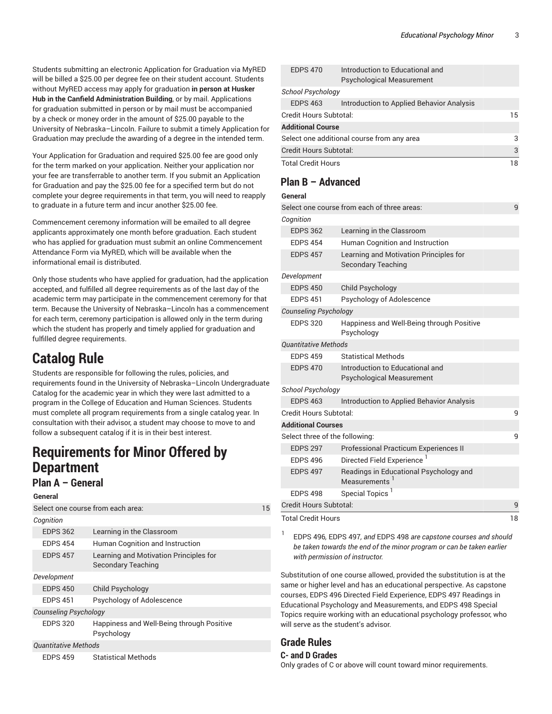Students submitting an electronic Application for Graduation via MyRED will be billed a \$25.00 per degree fee on their student account. Students without MyRED access may apply for graduation **in person at Husker Hub in the Canfield Administration Building**, or by mail. Applications for graduation submitted in person or by mail must be accompanied by a check or money order in the amount of \$25.00 payable to the University of Nebraska–Lincoln. Failure to submit a timely Application for Graduation may preclude the awarding of a degree in the intended term.

Your Application for Graduation and required \$25.00 fee are good only for the term marked on your application. Neither your application nor your fee are transferrable to another term. If you submit an Application for Graduation and pay the \$25.00 fee for a specified term but do not complete your degree requirements in that term, you will need to reapply to graduate in a future term and incur another \$25.00 fee.

Commencement ceremony information will be emailed to all degree applicants approximately one month before graduation. Each student who has applied for graduation must submit an online Commencement Attendance Form via MyRED, which will be available when the informational email is distributed.

Only those students who have applied for graduation, had the application accepted, and fulfilled all degree requirements as of the last day of the academic term may participate in the commencement ceremony for that term. Because the University of Nebraska–Lincoln has a commencement for each term, ceremony participation is allowed only in the term during which the student has properly and timely applied for graduation and fulfilled degree requirements.

# **Catalog Rule**

Students are responsible for following the rules, policies, and requirements found in the University of Nebraska–Lincoln Undergraduate Catalog for the academic year in which they were last admitted to a program in the College of Education and Human Sciences. Students must complete all program requirements from a single catalog year. In consultation with their advisor, a student may choose to move to and follow a subsequent catalog if it is in their best interest.

# **Requirements for Minor Offered by Department**

### **Plan A – General**

|                              | Select one course from each area:                                   | 15 |
|------------------------------|---------------------------------------------------------------------|----|
| Cognition                    |                                                                     |    |
| <b>EDPS 362</b>              | Learning in the Classroom                                           |    |
| <b>EDPS 454</b>              | Human Cognition and Instruction                                     |    |
| <b>EDPS 457</b>              | Learning and Motivation Principles for<br><b>Secondary Teaching</b> |    |
| Development                  |                                                                     |    |
| <b>EDPS 450</b>              | Child Psychology                                                    |    |
| <b>EDPS 451</b>              | Psychology of Adolescence                                           |    |
| <b>Counseling Psychology</b> |                                                                     |    |
| <b>EDPS 320</b>              | Happiness and Well-Being through Positive<br>Psychology             |    |
| <b>Quantitative Methods</b>  |                                                                     |    |
| <b>EDPS 459</b>              | <b>Statistical Methods</b>                                          |    |

|                                            | <b>EDPS 470</b>        | Introduction to Educational and<br><b>Psychological Measurement</b> |    |  |
|--------------------------------------------|------------------------|---------------------------------------------------------------------|----|--|
|                                            | School Psychology      |                                                                     |    |  |
|                                            | <b>EDPS 463</b>        | Introduction to Applied Behavior Analysis                           |    |  |
|                                            | Credit Hours Subtotal: |                                                                     | 15 |  |
| <b>Additional Course</b>                   |                        |                                                                     |    |  |
| Select one additional course from any area |                        |                                                                     | 3  |  |
| Credit Hours Subtotal:                     |                        |                                                                     | 3  |  |
| <b>Total Credit Hours</b>                  |                        | 18                                                                  |    |  |
|                                            |                        |                                                                     |    |  |

### **Plan B – Advanced**

#### **General**

| <b>Total Credit Hours</b>      |                                                                     | 18 |
|--------------------------------|---------------------------------------------------------------------|----|
| <b>Credit Hours Subtotal:</b>  |                                                                     | 9  |
| <b>EDPS 498</b>                | Special Topics <sup>1</sup>                                         |    |
| <b>EDPS 497</b>                | Readings in Educational Psychology and<br>Measurements              |    |
| <b>EDPS 496</b>                | Directed Field Experience                                           |    |
| <b>EDPS 297</b>                | Professional Practicum Experiences II                               |    |
| Select three of the following: |                                                                     | 9  |
| <b>Additional Courses</b>      |                                                                     |    |
| Credit Hours Subtotal:         |                                                                     | 9  |
| <b>EDPS 463</b>                | Introduction to Applied Behavior Analysis                           |    |
| School Psychology              |                                                                     |    |
| <b>EDPS 470</b>                | Introduction to Educational and<br><b>Psychological Measurement</b> |    |
| <b>EDPS 459</b>                | <b>Statistical Methods</b>                                          |    |
| <b>Quantitative Methods</b>    |                                                                     |    |
| <b>EDPS 320</b>                | Happiness and Well-Being through Positive<br>Psychology             |    |
| <b>Counseling Psychology</b>   |                                                                     |    |
| <b>EDPS 451</b>                | Psychology of Adolescence                                           |    |
| <b>EDPS 450</b>                | Child Psychology                                                    |    |
| Development                    |                                                                     |    |
| <b>EDPS 457</b>                | Learning and Motivation Principles for<br><b>Secondary Teaching</b> |    |
| <b>EDPS 454</b>                | Human Cognition and Instruction                                     |    |
| <b>EDPS 362</b>                | Learning in the Classroom                                           |    |
| Cognition                      |                                                                     |    |
|                                | Select one course from each of three areas:                         | 9  |
|                                |                                                                     |    |

1 EDPS 496*,* EDPS 497*, and* EDPS 498 *are capstone courses and should be taken towards the end of the minor program or can be taken earlier with permission of instructor.*

Substitution of one course allowed, provided the substitution is at the same or higher level and has an educational perspective. As capstone courses, EDPS 496 Directed Field Experience, EDPS 497 Readings in Educational Psychology and Measurements, and EDPS 498 Special Topics require working with an educational psychology professor, who will serve as the student's advisor.

### **Grade Rules**

#### **C- and D Grades**

Only grades of C or above will count toward minor requirements.